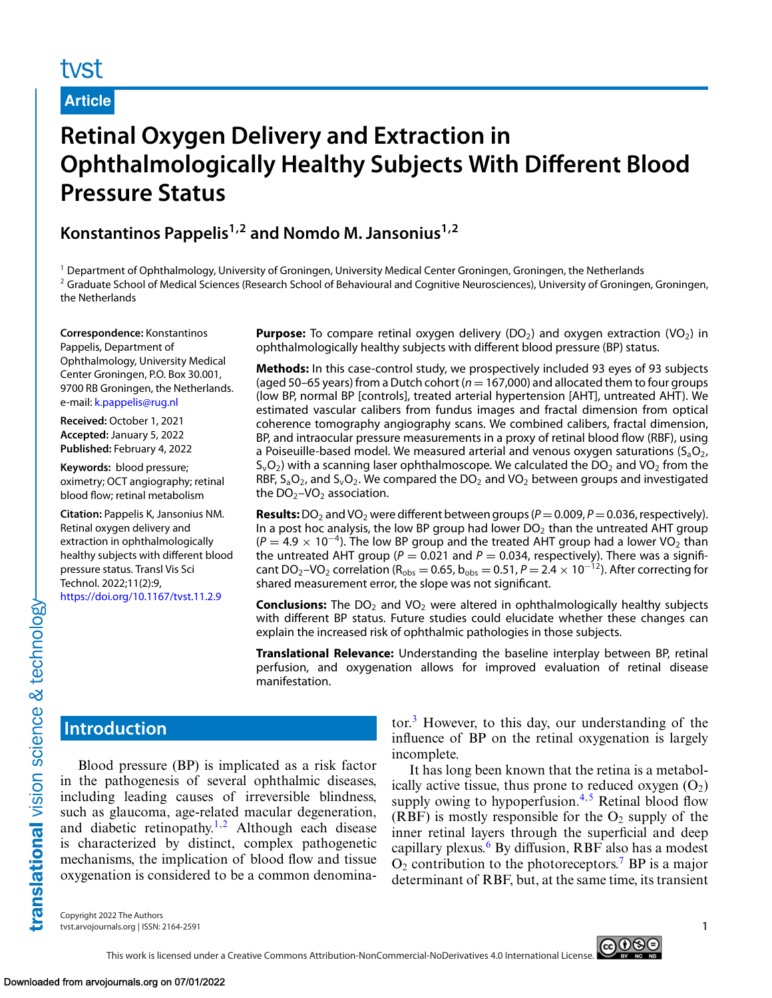# **Article**

# **Retinal Oxygen Delivery and Extraction in Ophthalmologically Healthy Subjects With Different Blood Pressure Status**

**Konstantinos Pappelis1,2 and Nomdo M. Jansonius1,2**

<sup>1</sup> Department of Ophthalmology, University of Groningen, University Medical Center Groningen, Groningen, the Netherlands <sup>2</sup> Graduate School of Medical Sciences (Research School of Behavioural and Cognitive Neurosciences), University of Groningen, Groningen, the Netherlands

**Correspondence:** Konstantinos Pappelis, Department of Ophthalmology, University Medical Center Groningen, P.O. Box 30.001, 9700 RB Groningen, the Netherlands. e-mail: [k.pappelis@rug.nl](mailto:k.pappelis@rug.nl)

**Received:** October 1, 2021 **Accepted:** January 5, 2022 **Published:** February 4, 2022

**Keywords:** blood pressure; oximetry; OCT angiography; retinal blood flow; retinal metabolism

**Citation:** Pappelis K, Jansonius NM. Retinal oxygen delivery and extraction in ophthalmologically healthy subjects with different blood pressure status. Transl Vis Sci Technol. 2022;11(2):9, <https://doi.org/10.1167/tvst.11.2.9>

**Purpose:** To compare retinal oxygen delivery  $(DO_2)$  and oxygen extraction  $(VO_2)$  in ophthalmologically healthy subjects with different blood pressure (BP) status.

**Methods:** In this case-control study, we prospectively included 93 eyes of 93 subjects (aged 50–65 years) from a Dutch cohort ( $n = 167,000$ ) and allocated them to four groups (low BP, normal BP [controls], treated arterial hypertension [AHT], untreated AHT). We estimated vascular calibers from fundus images and fractal dimension from optical coherence tomography angiography scans. We combined calibers, fractal dimension, BP, and intraocular pressure measurements in a proxy of retinal blood flow (RBF), using a Poiseuille-based model. We measured arterial and venous oxygen saturations  $(S_aO_2)$ ,  $S_vO_2$ ) with a scanning laser ophthalmoscope. We calculated the DO<sub>2</sub> and VO<sub>2</sub> from the RBF,  $S_aO_2$ , and  $S_vO_2$ . We compared the DO<sub>2</sub> and VO<sub>2</sub> between groups and investigated the  $DO<sub>2</sub>$ –VO<sub>2</sub> association.

**Results:** DO<sub>2</sub> and VO<sub>2</sub> were different between groups ( $P = 0.009$ ,  $P = 0.036$ , respectively). In a post hoc analysis, the low BP group had lower  $DO<sub>2</sub>$  than the untreated AHT group  $(P = 4.9 \times 10^{-4})$ . The low BP group and the treated AHT group had a lower VO<sub>2</sub> than the untreated AHT group ( $P = 0.021$  and  $P = 0.034$ , respectively). There was a significant DO<sub>2</sub>–VO<sub>2</sub> correlation (R<sub>obs</sub> = 0.65, b<sub>obs</sub> = 0.51, *P* = 2.4 × 10<sup>-12</sup>). After correcting for shared measurement error, the slope was not significant.

**Conclusions:** The DO<sub>2</sub> and VO<sub>2</sub> were altered in ophthalmologically healthy subjects with different BP status. Future studies could elucidate whether these changes can explain the increased risk of ophthalmic pathologies in those subjects.

**Translational Relevance:** Understanding the baseline interplay between BP, retinal perfusion, and oxygenation allows for improved evaluation of retinal disease manifestation.

# **Introduction**

translational vision science & technology-

Blood pressure (BP) is implicated as a risk factor in the pathogenesis of several ophthalmic diseases, including leading causes of irreversible blindness, such as glaucoma, age-related macular degeneration, and diabetic retinopathy.<sup>[1,2](#page-9-0)</sup> Although each disease is characterized by distinct, complex pathogenetic mechanisms, the implication of blood flow and tissue oxygenation is considered to be a common denominator. $3$  However, to this day, our understanding of the influence of BP on the retinal oxygenation is largely incomplete.

It has long been known that the retina is a metabolically active tissue, thus prone to reduced oxygen  $(O_2)$ supply owing to hypoperfusion. $4.5$  Retinal blood flow (RBF) is mostly responsible for the  $O_2$  supply of the inner retinal layers through the superficial and deep capillary plexus. $6$  By diffusion, RBF also has a modest  $O_2$  contribution to the photoreceptors.<sup>[7](#page-9-0)</sup> BP is a major determinant of RBF, but, at the same time, its transient

Copyright 2022 The Authors tvst.arvojournals.org | ISSN: 2164-2591 1

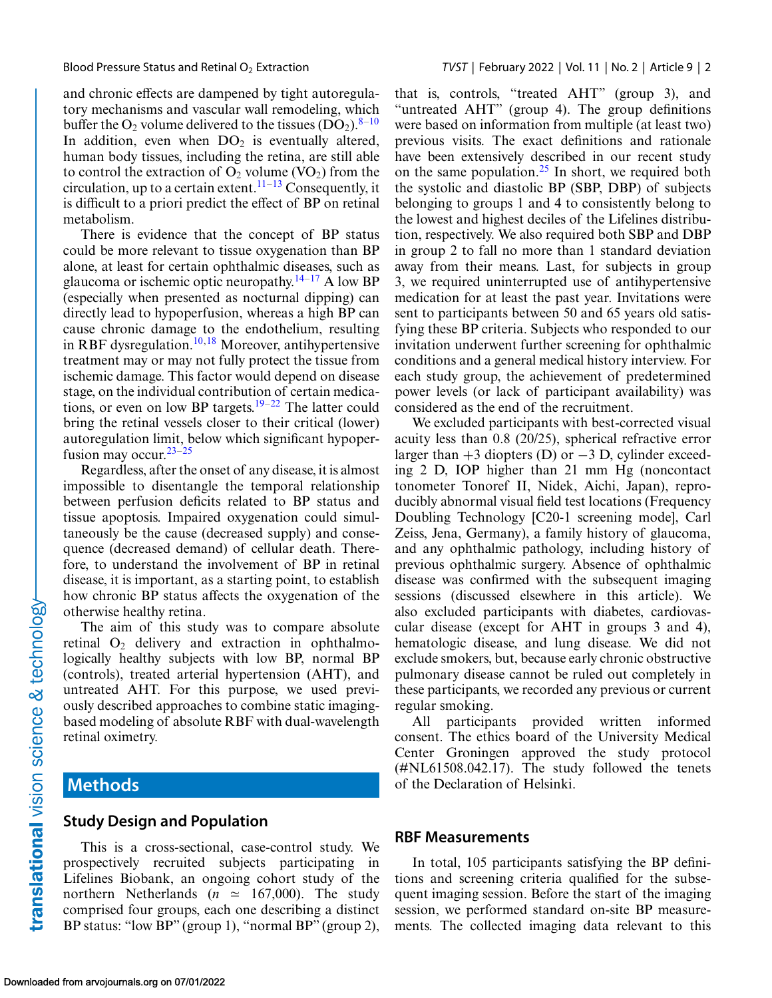and chronic effects are dampened by tight autoregulatory mechanisms and vascular wall remodeling, which buffer the  $O_2$  volume delivered to the tissues  $(DO_2)$ .<sup>[8–10](#page-9-0)</sup> In addition, even when  $DO<sub>2</sub>$  is eventually altered, human body tissues, including the retina, are still able to control the extraction of  $O_2$  volume (VO<sub>2</sub>) from the circulation, up to a certain extent.<sup>[11–13](#page-9-0)</sup> Consequently, it is difficult to a priori predict the effect of BP on retinal metabolism.

There is evidence that the concept of BP status could be more relevant to tissue oxygenation than BP alone, at least for certain ophthalmic diseases, such as glaucoma or ischemic optic neuropathy.<sup>14–[17](#page-10-0)</sup> A low BP (especially when presented as nocturnal dipping) can directly lead to hypoperfusion, whereas a high BP can cause chronic damage to the endothelium, resulting in RBF dysregulation.<sup>10[,18](#page-10-0)</sup> Moreover, antihypertensive treatment may or may not fully protect the tissue from ischemic damage. This factor would depend on disease stage, on the individual contribution of certain medications, or even on low BP targets.<sup>19–22</sup> The latter could bring the retinal vessels closer to their critical (lower) autoregulation limit, below which significant hypoperfusion may occur.  $23-25$ 

Regardless, after the onset of any disease, it is almost impossible to disentangle the temporal relationship between perfusion deficits related to BP status and tissue apoptosis. Impaired oxygenation could simultaneously be the cause (decreased supply) and consequence (decreased demand) of cellular death. Therefore, to understand the involvement of BP in retinal disease, it is important, as a starting point, to establish how chronic BP status affects the oxygenation of the otherwise healthy retina.

The aim of this study was to compare absolute retinal  $O_2$  delivery and extraction in ophthalmologically healthy subjects with low BP, normal BP (controls), treated arterial hypertension (AHT), and untreated AHT. For this purpose, we used previously described approaches to combine static imagingbased modeling of absolute RBF with dual-wavelength retinal oximetry.

# **Methods**

#### **Study Design and Population**

This is a cross-sectional, case-control study. We prospectively recruited subjects participating in Lifelines Biobank, an ongoing cohort study of the northern Netherlands ( $n \approx 167,000$ ). The study comprised four groups, each one describing a distinct BP status: "low BP" (group 1), "normal BP" (group 2), that is, controls, "treated AHT" (group 3), and "untreated AHT" (group 4). The group definitions were based on information from multiple (at least two) previous visits. The exact definitions and rationale have been extensively described in our recent study on the same population.[25](#page-10-0) In short, we required both the systolic and diastolic BP (SBP, DBP) of subjects belonging to groups 1 and 4 to consistently belong to the lowest and highest deciles of the Lifelines distribution, respectively. We also required both SBP and DBP in group 2 to fall no more than 1 standard deviation away from their means. Last, for subjects in group 3, we required uninterrupted use of antihypertensive medication for at least the past year. Invitations were sent to participants between 50 and 65 years old satisfying these BP criteria. Subjects who responded to our invitation underwent further screening for ophthalmic conditions and a general medical history interview. For each study group, the achievement of predetermined power levels (or lack of participant availability) was considered as the end of the recruitment.

We excluded participants with best-corrected visual acuity less than 0.8 (20/25), spherical refractive error larger than  $+3$  diopters (D) or  $-3$  D, cylinder exceeding 2 D, IOP higher than 21 mm Hg (noncontact tonometer Tonoref II, Nidek, Aichi, Japan), reproducibly abnormal visual field test locations (Frequency Doubling Technology [C20-1 screening mode], Carl Zeiss, Jena, Germany), a family history of glaucoma, and any ophthalmic pathology, including history of previous ophthalmic surgery. Absence of ophthalmic disease was confirmed with the subsequent imaging sessions (discussed elsewhere in this article). We also excluded participants with diabetes, cardiovascular disease (except for AHT in groups 3 and 4), hematologic disease, and lung disease. We did not exclude smokers, but, because early chronic obstructive pulmonary disease cannot be ruled out completely in these participants, we recorded any previous or current regular smoking.

All participants provided written informed consent. The ethics board of the University Medical Center Groningen approved the study protocol (#NL61508.042.17). The study followed the tenets of the Declaration of Helsinki.

#### **RBF Measurements**

In total, 105 participants satisfying the BP definitions and screening criteria qualified for the subsequent imaging session. Before the start of the imaging session, we performed standard on-site BP measurements. The collected imaging data relevant to this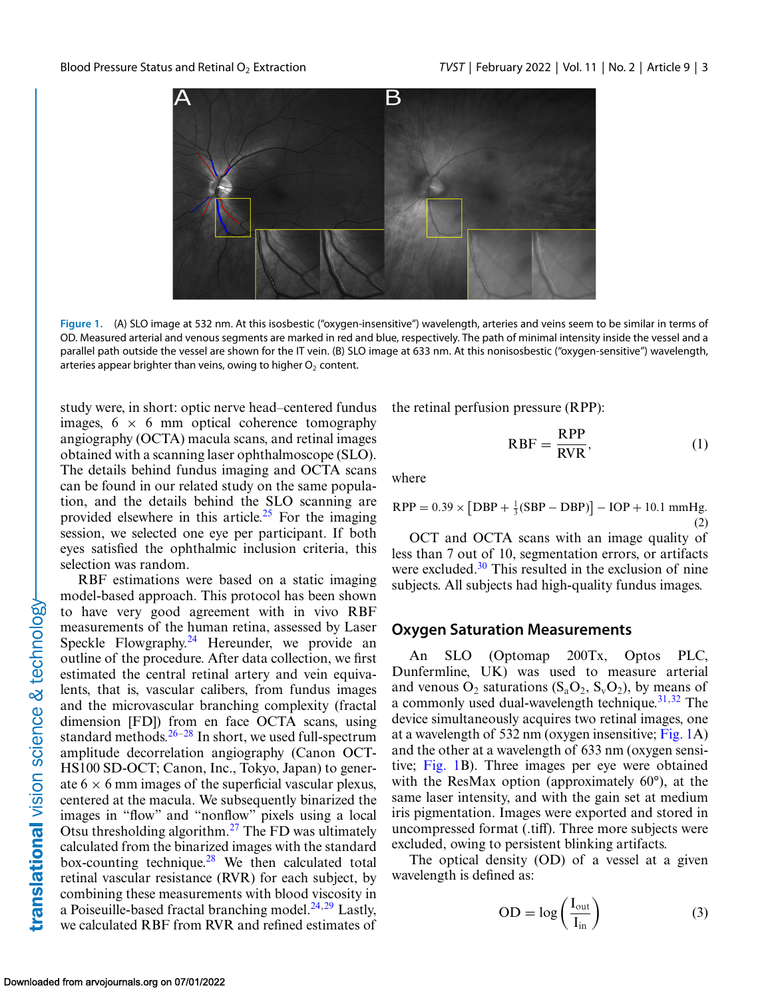<span id="page-2-0"></span>

**Figure 1.** (A) SLO image at 532 nm. At this isosbestic ("oxygen-insensitive") wavelength, arteries and veins seem to be similar in terms of OD. Measured arterial and venous segments are marked in red and blue, respectively. The path of minimal intensity inside the vessel and a parallel path outside the vessel are shown for the IT vein. (B) SLO image at 633 nm. At this nonisosbestic ("oxygen-sensitive") wavelength, arteries appear brighter than veins, owing to higher  $O<sub>2</sub>$  content.

study were, in short: optic nerve head–centered fundus images,  $6 \times 6$  mm optical coherence tomography angiography (OCTA) macula scans, and retinal images obtained with a scanning laser ophthalmoscope (SLO). The details behind fundus imaging and OCTA scans can be found in our related study on the same population, and the details behind the SLO scanning are provided elsewhere in this article.<sup>[25](#page-10-0)</sup> For the imaging session, we selected one eye per participant. If both eyes satisfied the ophthalmic inclusion criteria, this selection was random.

RBF estimations were based on a static imaging model-based approach. This protocol has been shown to have very good agreement with in vivo RBF measurements of the human retina, assessed by Laser Speckle Flowgraphy.<sup>24</sup> Hereunder, we provide an outline of the procedure. After data collection, we first estimated the central retinal artery and vein equivalents, that is, vascular calibers, from fundus images and the microvascular branching complexity (fractal dimension [FD]) from en face OCTA scans, using standard methods. $26-28$  In short, we used full-spectrum amplitude decorrelation angiography (Canon OCT-HS100 SD-OCT; Canon, Inc., Tokyo, Japan) to generate  $6 \times 6$  mm images of the superficial vascular plexus, centered at the macula. We subsequently binarized the images in "flow" and "nonflow" pixels using a local Otsu thresholding algorithm.[27](#page-10-0) The FD was ultimately calculated from the binarized images with the standard box-counting technique.<sup>28</sup> We then calculated total retinal vascular resistance (RVR) for each subject, by combining these measurements with blood viscosity in a Poiseuille-based fractal branching model. $^{24,29}$  Lastly, we calculated RBF from RVR and refined estimates of

the retinal perfusion pressure (RPP):

$$
RBF = \frac{RPP}{RVR},\tag{1}
$$

where

$$
RPP = 0.39 \times [DBP + \frac{1}{3}(SBP - DBP)] - IOP + 10.1 \text{ mmHg.}
$$
\n(2)

OCT and OCTA scans with an image quality of less than 7 out of 10, segmentation errors, or artifacts were excluded. $30$  This resulted in the exclusion of nine subjects. All subjects had high-quality fundus images.

#### **Oxygen Saturation Measurements**

An SLO (Optomap 200Tx, Optos PLC, Dunfermline, UK) was used to measure arterial and venous  $O_2$  saturations  $(S_a O_2, S_v O_2)$ , by means of a commonly used dual-wavelength technique. $31,32$  The device simultaneously acquires two retinal images, one at a wavelength of 532 nm (oxygen insensitive; Fig. 1A) and the other at a wavelength of 633 nm (oxygen sensitive; Fig. 1B). Three images per eye were obtained with the ResMax option (approximately 60°), at the same laser intensity, and with the gain set at medium iris pigmentation. Images were exported and stored in uncompressed format (.tiff). Three more subjects were excluded, owing to persistent blinking artifacts.

The optical density (OD) of a vessel at a given wavelength is defined as:

$$
OD = \log\left(\frac{I_{out}}{I_{in}}\right) \tag{3}
$$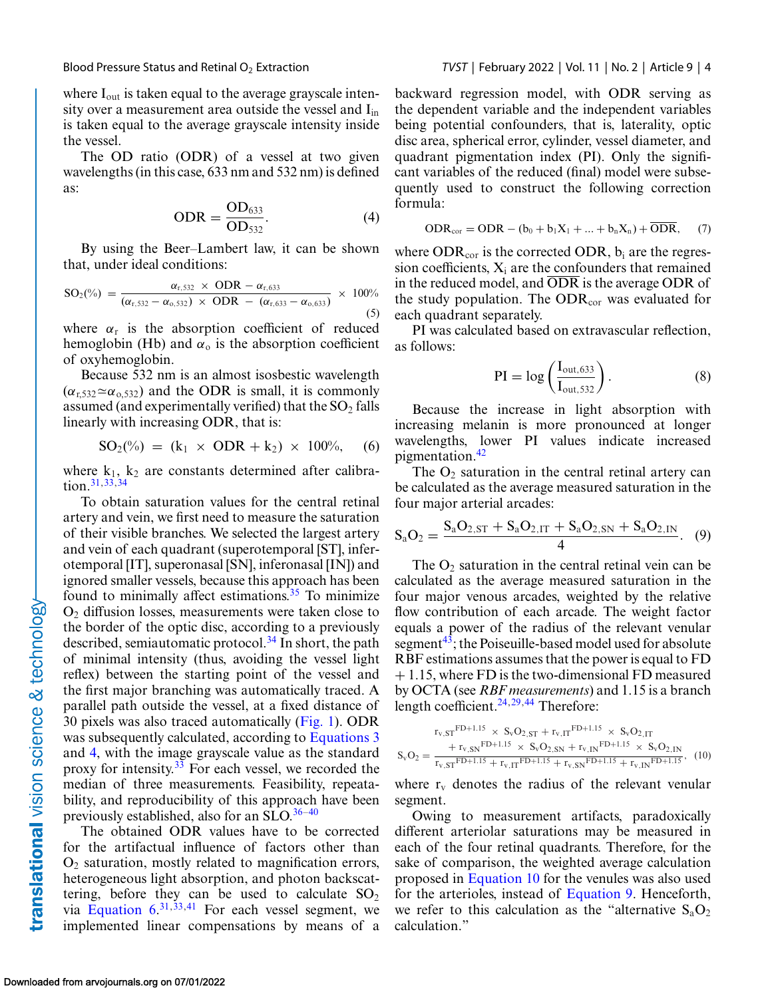<span id="page-3-0"></span>

where I<sub>out</sub> is taken equal to the average grayscale intensity over a measurement area outside the vessel and I<sub>in</sub> is taken equal to the average grayscale intensity inside the vessel.

The OD ratio (ODR) of a vessel at two given wavelengths (in this case, 633 nm and 532 nm) is defined as:

$$
ODR = \frac{OD_{633}}{OD_{532}}.
$$
 (4)

By using the Beer–Lambert law, it can be shown that, under ideal conditions:

$$
SO_{2}(\%) = \frac{\alpha_{r,532} \times ODR - \alpha_{r,633}}{(\alpha_{r,532} - \alpha_{o,532}) \times ODR - (\alpha_{r,633} - \alpha_{o,633})} \times 100\%
$$
\n(5)

where  $\alpha_r$  is the absorption coefficient of reduced hemoglobin (Hb) and  $\alpha_0$  is the absorption coefficient of oxyhemoglobin.

Because 532 nm is an almost isosbestic wavelength  $(\alpha_{r,532} \simeq \alpha_{0,532})$  and the ODR is small, it is commonly assumed (and experimentally verified) that the  $SO_2$  falls linearly with increasing ODR, that is:

$$
SO_2(\%) = (k_1 \times ODR + k_2) \times 100\%, \quad (6)
$$

where  $k_1$ ,  $k_2$  are constants determined after calibration[.31,33,34](#page-10-0)

To obtain saturation values for the central retinal artery and vein, we first need to measure the saturation of their visible branches. We selected the largest artery and vein of each quadrant (superotemporal [ST], inferotemporal [IT], superonasal [SN], inferonasal [IN]) and ignored smaller vessels, because this approach has been found to minimally affect estimations. $35$  To minimize  $O<sub>2</sub>$  diffusion losses, measurements were taken close to the border of the optic disc, according to a previously described, semiautomatic protocol.<sup>34</sup> In short, the path of minimal intensity (thus, avoiding the vessel light reflex) between the starting point of the vessel and the first major branching was automatically traced. A parallel path outside the vessel, at a fixed distance of 30 pixels was also traced automatically [\(Fig. 1\)](#page-2-0). ODR was subsequently calculated, according to [Equations 3](#page-2-0) and 4, with the image grayscale value as the standard proxy for intensity.<sup>33</sup> For each vessel, we recorded the median of three measurements. Feasibility, repeatability, and reproducibility of this approach have been previously established, also for an SLO. $36-40$ 

The obtained ODR values have to be corrected for the artifactual influence of factors other than  $O<sub>2</sub>$  saturation, mostly related to magnification errors, heterogeneous light absorption, and photon backscattering, before they can be used to calculate  $SO_2$ via Equation  $6^{31,33,41}$  $6^{31,33,41}$  $6^{31,33,41}$  $6^{31,33,41}$  For each vessel segment, we implemented linear compensations by means of a backward regression model, with ODR serving as the dependent variable and the independent variables being potential confounders, that is, laterality, optic disc area, spherical error, cylinder, vessel diameter, and quadrant pigmentation index (PI). Only the significant variables of the reduced (final) model were subsequently used to construct the following correction formula:

$$
ODR_{cor} = ODR - (b_0 + b_1X_1 + \dots + b_nX_n) + \overline{ODR}, \qquad (7)
$$

where  $ODR_{cor}$  is the corrected ODR,  $b_i$  are the regression coefficients,  $X_i$  are the confounders that remained in the reduced model, and ODR is the average ODR of the study population. The  $ODR_{cor}$  was evaluated for each quadrant separately.

PI was calculated based on extravascular reflection, as follows:

$$
PI = \log\left(\frac{I_{\text{out},633}}{I_{\text{out},532}}\right). \tag{8}
$$

Because the increase in light absorption with increasing melanin is more pronounced at longer wavelengths, lower PI values indicate increased pigmentation.<sup>[42](#page-11-0)</sup>

The  $O_2$  saturation in the central retinal artery can be calculated as the average measured saturation in the four major arterial arcades:

$$
S_aO_2 = \frac{S_aO_{2,ST} + S_aO_{2,IT} + S_aO_{2,SN} + S_aO_{2,IN}}{4}.
$$
 (9)

The  $O_2$  saturation in the central retinal vein can be calculated as the average measured saturation in the four major venous arcades, weighted by the relative flow contribution of each arcade. The weight factor equals a power of the radius of the relevant venular segment<sup>43</sup>; the Poiseuille-based model used for absolute RBF estimations assumes that the power is equal to FD + 1.15, where FD is the two-dimensional FD measured by OCTA (see *RBF measurements*) and 1.15 is a branch length coefficient. $24,29,44$  $24,29,44$  Therefore:

$$
S_{v}O_{2} = \frac{r_{v,ST} F^{D+1.15} \times S_{v} O_{2,ST} + r_{v,IT} F^{D+1.15} \times S_{v} O_{2,IT}}{r_{v,ST} F^{D+1.15} \times S_{v} O_{2,SN} + r_{v,IN} F^{D+1.15} \times S_{v} O_{2,IN}},
$$
 (10)

where  $r_v$  denotes the radius of the relevant venular segment.

Owing to measurement artifacts, paradoxically different arteriolar saturations may be measured in each of the four retinal quadrants. Therefore, for the sake of comparison, the weighted average calculation proposed in Equation 10 for the venules was also used for the arterioles, instead of Equation 9. Henceforth, we refer to this calculation as the "alternative  $S_aO_2$ " calculation."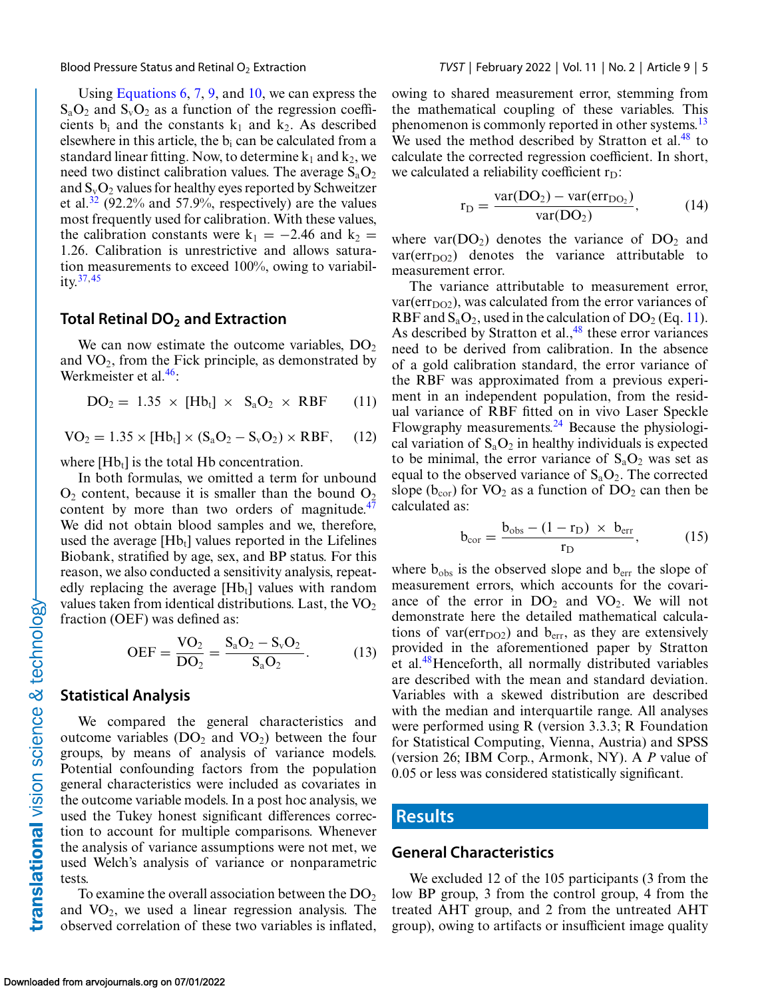<span id="page-4-0"></span>

Using [Equations 6,](#page-3-0) [7,](#page-3-0) [9,](#page-3-0) and [10,](#page-3-0) we can express the  $S_aO_2$  and  $S_vO_2$  as a function of the regression coefficients  $b_i$  and the constants  $k_1$  and  $k_2$ . As described elsewhere in this article, the  $b_i$  can be calculated from a standard linear fitting. Now, to determine  $k_1$  and  $k_2$ , we need two distinct calibration values. The average  $S_aO_2$ and  $S_vO_2$  values for healthy eyes reported by Schweitzer et al.<sup>[32](#page-10-0)</sup> (92.2% and 57.9%, respectively) are the values most frequently used for calibration. With these values, the calibration constants were  $k_1 = -2.46$  and  $k_2 =$ 1.26. Calibration is unrestrictive and allows saturation measurements to exceed 100%, owing to variability[.37,](#page-10-0)[45](#page-11-0)

#### **Total Retinal DO2 and Extraction**

We can now estimate the outcome variables,  $DO<sub>2</sub>$ and  $VO<sub>2</sub>$ , from the Fick principle, as demonstrated by Werkmeister et al.<sup>46</sup>:

$$
DO2 = 1.35 \times [Hbt] \times SaO2 \times RBF \qquad (11)
$$

$$
VO2 = 1.35 \times [Hbt] \times (SaO2 - SvO2) \times RBF, \quad (12)
$$

where  $[Hb_t]$  is the total Hb concentration.

In both formulas, we omitted a term for unbound  $O_2$  content, because it is smaller than the bound  $O_2$ content by more than two orders of magnitude. $47$ We did not obtain blood samples and we, therefore, used the average  $[Hb_t]$  values reported in the Lifelines Biobank, stratified by age, sex, and BP status. For this reason, we also conducted a sensitivity analysis, repeatedly replacing the average  $[Hb_t]$  values with random values taken from identical distributions. Last, the  $VO<sub>2</sub>$ fraction (OEF) was defined as:

$$
OEF = \frac{VO_2}{DO_2} = \frac{S_aO_2 - S_vO_2}{S_aO_2}.
$$
 (13)

#### **Statistical Analysis**

We compared the general characteristics and outcome variables ( $DO<sub>2</sub>$  and  $VO<sub>2</sub>$ ) between the four groups, by means of analysis of variance models. Potential confounding factors from the population general characteristics were included as covariates in the outcome variable models. In a post hoc analysis, we used the Tukey honest significant differences correction to account for multiple comparisons. Whenever the analysis of variance assumptions were not met, we used Welch's analysis of variance or nonparametric tests.

To examine the overall association between the  $DO<sub>2</sub>$ and  $VO_2$ , we used a linear regression analysis. The observed correlation of these two variables is inflated,

owing to shared measurement error, stemming from the mathematical coupling of these variables. This phenomenon is commonly reported in other systems.<sup>13</sup> We used the method described by Stratton et al. $48$  to calculate the corrected regression coefficient. In short, we calculated a reliability coefficient  $r_D$ :

$$
r_{D} = \frac{var(DO_{2}) - var(err_{DO_{2}})}{var(DO_{2})},
$$
\n(14)

where  $var(DO<sub>2</sub>)$  denotes the variance of  $DO<sub>2</sub>$  and  $var(err<sub>DO2</sub>)$  denotes the variance attributable to measurement error.

The variance attributable to measurement error,  $var(err<sub>DO2</sub>)$ , was calculated from the error variances of RBF and  $S_aO_2$ , used in the calculation of  $DO_2$  (Eq. 11). As described by Stratton et al., $48$  these error variances need to be derived from calibration. In the absence of a gold calibration standard, the error variance of the RBF was approximated from a previous experiment in an independent population, from the residual variance of RBF fitted on in vivo Laser Speckle Flowgraphy measurements. $^{24}$  Because the physiological variation of  $S_aO_2$  in healthy individuals is expected to be minimal, the error variance of  $S_aO_2$  was set as equal to the observed variance of  $S_aO_2$ . The corrected slope ( $b_{cor}$ ) for VO<sub>2</sub> as a function of DO<sub>2</sub> can then be calculated as:

$$
b_{\text{cor}} = \frac{b_{\text{obs}} - (1 - r_{\text{D}}) \times b_{\text{err}}}{r_{\text{D}}},\tag{15}
$$

where  $b_{obs}$  is the observed slope and  $b_{err}$  the slope of measurement errors, which accounts for the covariance of the error in  $DO<sub>2</sub>$  and  $VO<sub>2</sub>$ . We will not demonstrate here the detailed mathematical calculations of var( $err<sub>DO2</sub>$ ) and  $b<sub>err</sub>$ , as they are extensively provided in the aforementioned paper by Stratton et al.[48H](#page-11-0)enceforth, all normally distributed variables are described with the mean and standard deviation. Variables with a skewed distribution are described with the median and interquartile range. All analyses were performed using R (version 3.3.3; R Foundation for Statistical Computing, Vienna, Austria) and SPSS (version 26; IBM Corp., Armonk, NY). A *P* value of 0.05 or less was considered statistically significant.

#### **Results**

#### **General Characteristics**

We excluded 12 of the 105 participants (3 from the low BP group, 3 from the control group, 4 from the treated AHT group, and 2 from the untreated AHT group), owing to artifacts or insufficient image quality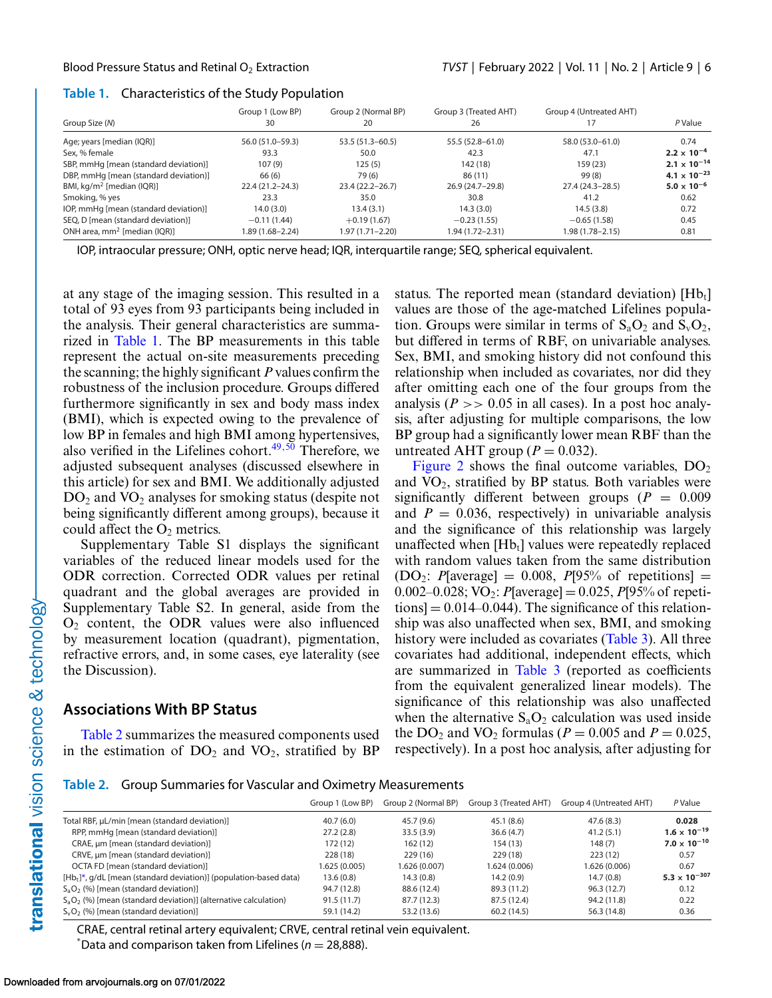#### **Table 1.** Characteristics of the Study Population

|                                       | Group 1 (Low BP)    | Group 2 (Normal BP) | Group 3 (Treated AHT) | Group 4 (Untreated AHT) |                                |
|---------------------------------------|---------------------|---------------------|-----------------------|-------------------------|--------------------------------|
| Group Size (N)                        | 30                  | 20                  | 26                    |                         | P Value                        |
| Age; years [median (IQR)]             | 56.0 (51.0-59.3)    | $53.5(51.3 - 60.5)$ | 55.5 (52.8-61.0)      | 58.0 (53.0-61.0)        | 0.74                           |
| Sex, % female                         | 93.3                | 50.0                | 42.3                  | 47.1                    | $2.2 \times 10^{-4}$           |
| SBP, mmHg [mean (standard deviation)] | 107(9)              | 125(5)              | 142 (18)              | 159(23)                 | $2.1 \times 10^{-14}$          |
| DBP, mmHg [mean (standard deviation)] | 66 (6)              | 79 (6)              | 86(11)                | 99(8)                   | 4.1 $\times$ 10 <sup>-23</sup> |
| BMI, $kg/m^2$ [median (IQR)]          | $22.4(21.2 - 24.3)$ | $23.4(22.2 - 26.7)$ | 26.9 (24.7-29.8)      | 27.4 (24.3–28.5)        | $5.0 \times 10^{-6}$           |
| Smoking, % yes                        | 23.3                | 35.0                | 30.8                  | 41.2                    | 0.62                           |
| IOP, mmHg [mean (standard deviation)] | 14.0(3.0)           | 13.4(3.1)           | 14.3(3.0)             | 14.5(3.8)               | 0.72                           |
| SEQ, D [mean (standard deviation)]    | $-0.11(1.44)$       | $+0.19(1.67)$       | $-0.23(1.55)$         | $-0.65(1.58)$           | 0.45                           |
| ONH area, $mm^2$ [median (IQR)]       | 1.89 (1.68-2.24)    | 1.97 (1.71-2.20)    | 1.94 (1.72–2.31)      | 1.98 (1.78–2.15)        | 0.81                           |

IOP, intraocular pressure; ONH, optic nerve head; IQR, interquartile range; SEQ, spherical equivalent.

at any stage of the imaging session. This resulted in a total of 93 eyes from 93 participants being included in the analysis. Their general characteristics are summarized in Table 1. The BP measurements in this table represent the actual on-site measurements preceding the scanning; the highly significant *P* values confirm the robustness of the inclusion procedure. Groups differed furthermore significantly in sex and body mass index (BMI), which is expected owing to the prevalence of low BP in females and high BMI among hypertensives, also verified in the Lifelines cohort. $49,50$  Therefore, we adjusted subsequent analyses (discussed elsewhere in this article) for sex and BMI. We additionally adjusted  $DO<sub>2</sub>$  and  $VO<sub>2</sub>$  analyses for smoking status (despite not being significantly different among groups), because it could affect the  $O<sub>2</sub>$  metrics.

Supplementary Table S1 displays the significant variables of the reduced linear models used for the ODR correction. Corrected ODR values per retinal quadrant and the global averages are provided in Supplementary Table S2. In general, aside from the  $O<sub>2</sub>$  content, the ODR values were also influenced by measurement location (quadrant), pigmentation, refractive errors, and, in some cases, eye laterality (see the Discussion).

### **Associations With BP Status**

Table 2 summarizes the measured components used in the estimation of  $DO<sub>2</sub>$  and  $VO<sub>2</sub>$ , stratified by BP status. The reported mean (standard deviation)  $[Hb_t]$ values are those of the age-matched Lifelines population. Groups were similar in terms of  $S_aO_2$  and  $S_vO_2$ , but differed in terms of RBF, on univariable analyses. Sex, BMI, and smoking history did not confound this relationship when included as covariates, nor did they after omitting each one of the four groups from the analysis ( $P \gg 0.05$  in all cases). In a post hoc analysis, after adjusting for multiple comparisons, the low BP group had a significantly lower mean RBF than the untreated AHT group ( $P = 0.032$ ).

[Figure 2](#page-6-0) shows the final outcome variables,  $DO<sub>2</sub>$ and  $VO<sub>2</sub>$ , stratified by BP status. Both variables were significantly different between groups  $(P = 0.009)$ and  $P = 0.036$ , respectively) in univariable analysis and the significance of this relationship was largely unaffected when  $[Hb_t]$  values were repeatedly replaced with random values taken from the same distribution  $(DO_2: P[average] = 0.008, P[95%$  of repetitions = 0.002–0.028; VO<sub>2</sub>: *P*[average] = 0.025, *P*[95% of repeti- $\text{tions}$  = 0.014–0.044). The significance of this relationship was also unaffected when sex, BMI, and smoking history were included as covariates [\(Table 3\)](#page-6-0). All three covariates had additional, independent effects, which are summarized in [Table 3](#page-6-0) (reported as coefficients from the equivalent generalized linear models). The significance of this relationship was also unaffected when the alternative  $S_aO_2$  calculation was used inside the DO<sub>2</sub> and VO<sub>2</sub> formulas ( $P = 0.005$  and  $P = 0.025$ , respectively). In a post hoc analysis, after adjusting for

**Table 2.** Group Summaries for Vascular and Oximetry Measurements

|                                                                       | Group 1 (Low BP) | Group 2 (Normal BP) | Group 3 (Treated AHT) | Group 4 (Untreated AHT) | P Value                         |
|-----------------------------------------------------------------------|------------------|---------------------|-----------------------|-------------------------|---------------------------------|
| Total RBF, µL/min [mean (standard deviation)]                         | 40.7(6.0)        | 45.7 (9.6)          | 45.1(8.6)             | 47.6(8.3)               | 0.028                           |
| RPP, mmHg [mean (standard deviation)]                                 | 27.2(2.8)        | 33.5(3.9)           | 36.6(4.7)             | 41.2(5.1)               | $1.6 \times 10^{-19}$           |
| CRAE, um [mean (standard deviation)]                                  | 172 (12)         | 162(12)             | 154 (13)              | 148(7)                  | $7.0 \times 10^{-10}$           |
| CRVE, µm [mean (standard deviation)]                                  | 228 (18)         | 229(16)             | 229 (18)              | 223(12)                 | 0.57                            |
| OCTA FD [mean (standard deviation)]                                   | 1.625 (0.005)    | 1.626 (0.007)       | 1.624 (0.006)         | 1.626 (0.006)           | 0.67                            |
| $[Hb_t]^*$ , g/dL [mean (standard deviation)] (population-based data) | 13.6(0.8)        | 14.3(0.8)           | 14.2(0.9)             | 14.7(0.8)               | 5.3 $\times$ 10 <sup>-307</sup> |
| $S_aO_2$ (%) [mean (standard deviation)]                              | 94.7 (12.8)      | 88.6 (12.4)         | 89.3 (11.2)           | 96.3(12.7)              | 0.12                            |
| $S_aO_2$ (%) [mean (standard deviation)] (alternative calculation)    | 91.5(11.7)       | 87.7 (12.3)         | 87.5 (12.4)           | 94.2 (11.8)             | 0.22                            |
| $S_vO_2$ (%) [mean (standard deviation)]                              | 59.1 (14.2)      | 53.2 (13.6)         | 60.2(14.5)            | 56.3 (14.8)             | 0.36                            |

CRAE, central retinal artery equivalent; CRVE, central retinal vein equivalent.  $*$ Data and comparison taken from Lifelines ( $n = 28,888$ ).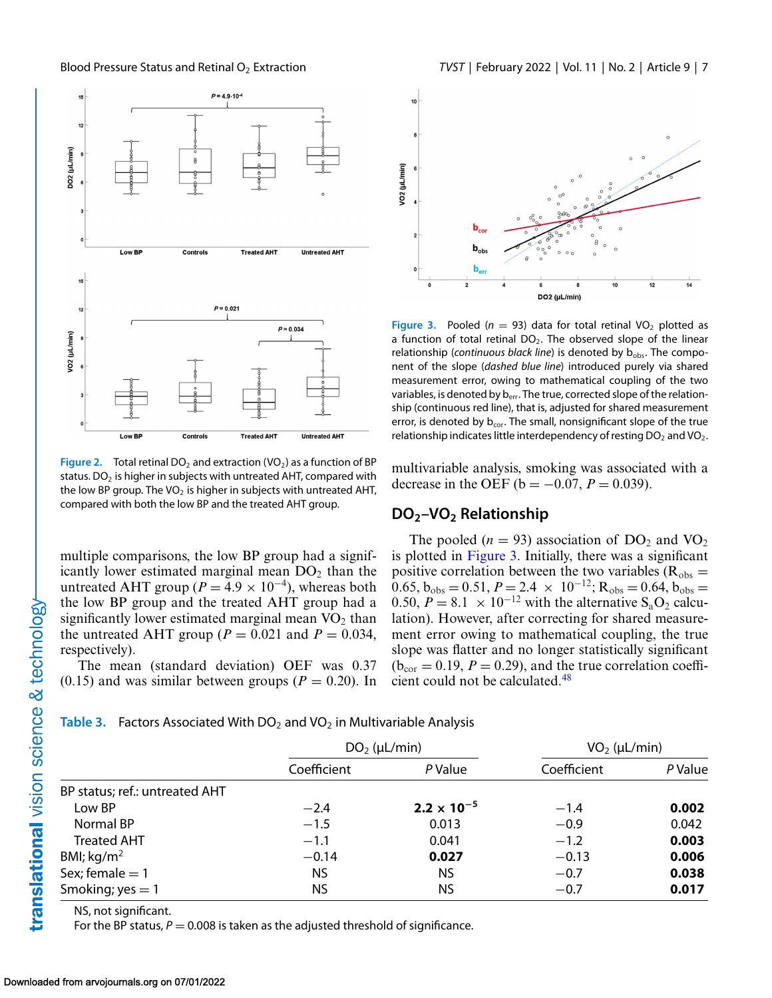<span id="page-6-0"></span>

**Figure 2.** Total retinal DO<sub>2</sub> and extraction (VO<sub>2</sub>) as a function of BP status. DO<sub>2</sub> is higher in subjects with untreated AHT, compared with the low BP group. The VO<sub>2</sub> is higher in subjects with untreated AHT, compared with both the low BP and the treated AHT group.

multiple comparisons, the low BP group had a significantly lower estimated marginal mean  $DO<sub>2</sub>$  than the untreated AHT group ( $P = 4.9 \times 10^{-4}$ ), whereas both the low BP group and the treated AHT group had a significantly lower estimated marginal mean  $VO<sub>2</sub>$  than the untreated AHT group ( $P = 0.021$  and  $P = 0.034$ , respectively).

The mean (standard deviation) OEF was 0.37  $(0.15)$  and was similar between groups  $(P = 0.20)$ . In



**Figure 3.** Pooled ( $n = 93$ ) data for total retinal VO<sub>2</sub> plotted as a function of total retinal  $DO<sub>2</sub>$ . The observed slope of the linear relationship (*continuous black line*) is denoted by b<sub>obs</sub>. The component of the slope (*dashed blue line*) introduced purely via shared measurement error, owing to mathematical coupling of the two variables, is denoted by b<sub>err</sub>. The true, corrected slope of the relationship (continuous red line), that is, adjusted for shared measurement error, is denoted by  $b_{cor}$ . The small, nonsignificant slope of the true relationship indicates little interdependency of resting  $DO<sub>2</sub>$  and  $VO<sub>2</sub>$ .

multivariable analysis, smoking was associated with a decrease in the OEF ( $b = -0.07$ ,  $P = 0.039$ ).

#### **DO2–VO2 Relationship**

The pooled ( $n = 93$ ) association of DO<sub>2</sub> and VO<sub>2</sub> is plotted in Figure 3. Initially, there was a significant positive correlation between the two variables ( $R_{obs}$  =  $\overline{0.65}$ ,  $\overline{b}_{\text{obs}} = 0.51$ ,  $P = 2.4 \times 10^{-12}$ ;  $R_{\text{obs}} = 0.64$ ,  $\overline{b}_{\text{obs}} = 0.51$ 0.50,  $P = 8.1 \times 10^{-12}$  with the alternative S<sub>a</sub>O<sub>2</sub> calculation). However, after correcting for shared measurement error owing to mathematical coupling, the true slope was flatter and no longer statistically significant  $(b_{cor} = 0.19, P = 0.29)$ , and the true correlation coefficient could not be calculated[.48](#page-11-0)

#### **Table 3.** Factors Associated With  $DO<sub>2</sub>$  and  $VO<sub>2</sub>$  in Multivariable Analysis

|                                |             | $DO2$ (µL/min)       | $VO2$ (µL/min) |         |
|--------------------------------|-------------|----------------------|----------------|---------|
|                                | Coefficient | P Value              | Coefficient    | P Value |
| BP status; ref.: untreated AHT |             |                      |                |         |
| Low BP                         | $-2.4$      | $2.2 \times 10^{-5}$ | $-1.4$         | 0.002   |
| Normal BP                      | $-1.5$      | 0.013                | $-0.9$         | 0.042   |
| <b>Treated AHT</b>             | $-1.1$      | 0.041                | $-1.2$         | 0.003   |
| BMI; $kg/m2$                   | $-0.14$     | 0.027                | $-0.13$        | 0.006   |
| Sex; female $= 1$              | NS.         | <b>NS</b>            | $-0.7$         | 0.038   |
| Smoking; $yes = 1$             | ΝS          | NS.                  | $-0.7$         | 0.017   |

NS, not significant.

For the BP status,  $P = 0.008$  is taken as the adjusted threshold of significance.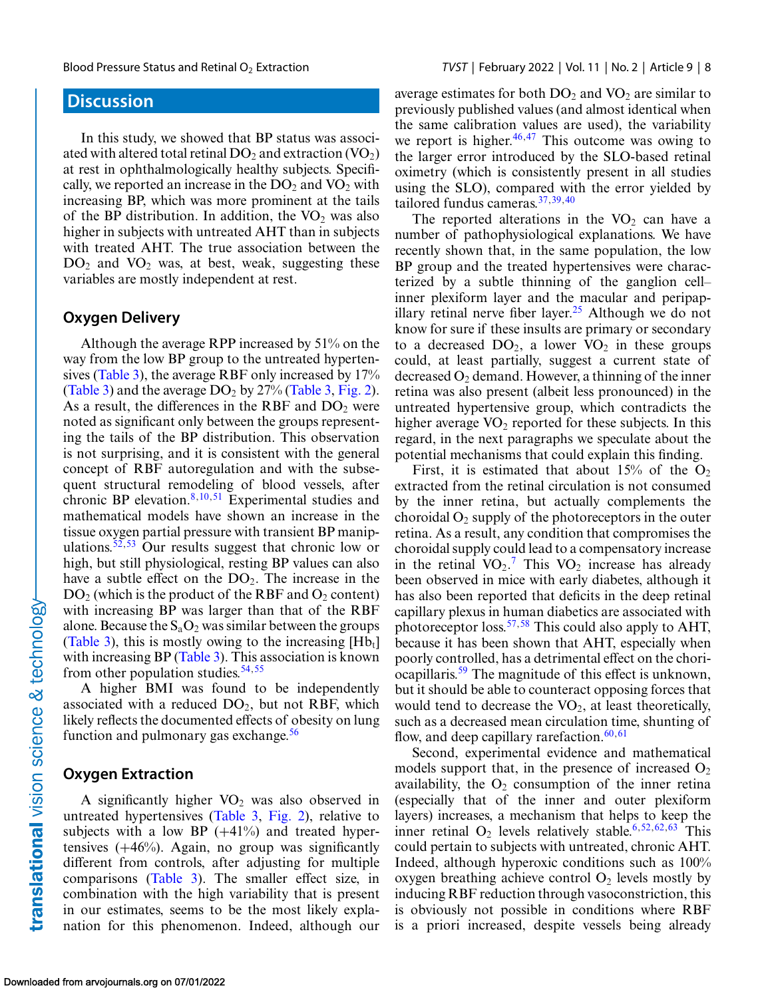# **Discussion**

In this study, we showed that BP status was associated with altered total retinal DO<sub>2</sub> and extraction  $(VO<sub>2</sub>)$ at rest in ophthalmologically healthy subjects. Specifically, we reported an increase in the  $DO<sub>2</sub>$  and  $VO<sub>2</sub>$  with increasing BP, which was more prominent at the tails of the BP distribution. In addition, the  $VO<sub>2</sub>$  was also higher in subjects with untreated AHT than in subjects with treated AHT. The true association between the  $DO<sub>2</sub>$  and  $VO<sub>2</sub>$  was, at best, weak, suggesting these variables are mostly independent at rest.

#### **Oxygen Delivery**

Although the average RPP increased by 51% on the way from the low BP group to the untreated hypertensives [\(Table 3\)](#page-6-0), the average RBF only increased by 17% [\(Table 3\)](#page-6-0) and the average  $DO<sub>2</sub>$  by 27% [\(Table 3,](#page-6-0) [Fig. 2\)](#page-6-0). As a result, the differences in the RBF and  $DO<sub>2</sub>$  were noted as significant only between the groups representing the tails of the BP distribution. This observation is not surprising, and it is consistent with the general concept of RBF autoregulation and with the subsequent structural remodeling of blood vessels, after chronic BP elevation.<sup>8,10,[51](#page-11-0)</sup> Experimental studies and mathematical models have shown an increase in the tissue oxygen partial pressure with transient BP manip-ulations.<sup>[52,53](#page-11-0)</sup> Our results suggest that chronic low or high, but still physiological, resting BP values can also have a subtle effect on the  $DO<sub>2</sub>$ . The increase in the  $DO<sub>2</sub>$  (which is the product of the RBF and  $O<sub>2</sub>$  content) with increasing BP was larger than that of the RBF alone. Because the  $S_aO_2$  was similar between the groups [\(Table 3\)](#page-6-0), this is mostly owing to the increasing  $[Hb_1]$ with increasing BP [\(Table 3\)](#page-6-0). This association is known from other population studies.  $54,55$ 

A higher BMI was found to be independently associated with a reduced  $DO<sub>2</sub>$ , but not RBF, which likely reflects the documented effects of obesity on lung function and pulmonary gas exchange. $56$ 

#### **Oxygen Extraction**

A significantly higher  $VO<sub>2</sub>$  was also observed in untreated hypertensives [\(Table 3,](#page-6-0) [Fig. 2\)](#page-6-0), relative to subjects with a low BP  $(+41\%)$  and treated hypertensives  $(+46%)$ . Again, no group was significantly different from controls, after adjusting for multiple comparisons [\(Table 3\)](#page-6-0). The smaller effect size, in combination with the high variability that is present in our estimates, seems to be the most likely explanation for this phenomenon. Indeed, although our average estimates for both  $DO<sub>2</sub>$  and  $VO<sub>2</sub>$  are similar to previously published values (and almost identical when the same calibration values are used), the variability we report is higher. $46,47$  This outcome was owing to the larger error introduced by the SLO-based retinal oximetry (which is consistently present in all studies using the SLO), compared with the error yielded by tailored fundus cameras.[37,39,40](#page-10-0)

The reported alterations in the  $VO<sub>2</sub>$  can have a number of pathophysiological explanations. We have recently shown that, in the same population, the low BP group and the treated hypertensives were characterized by a subtle thinning of the ganglion cell– inner plexiform layer and the macular and peripap-illary retinal nerve fiber layer.<sup>[25](#page-10-0)</sup> Although we do not know for sure if these insults are primary or secondary to a decreased  $DO<sub>2</sub>$ , a lower  $VO<sub>2</sub>$  in these groups could, at least partially, suggest a current state of decreased  $O_2$  demand. However, a thinning of the inner retina was also present (albeit less pronounced) in the untreated hypertensive group, which contradicts the higher average  $VO<sub>2</sub>$  reported for these subjects. In this regard, in the next paragraphs we speculate about the potential mechanisms that could explain this finding.

First, it is estimated that about  $15\%$  of the O<sub>2</sub> extracted from the retinal circulation is not consumed by the inner retina, but actually complements the choroidal  $O_2$  supply of the photoreceptors in the outer retina. As a result, any condition that compromises the choroidal supply could lead to a compensatory increase in the retinal  $VO_2$ .<sup>[7](#page-9-0)</sup> This  $VO_2$  increase has already been observed in mice with early diabetes, although it has also been reported that deficits in the deep retinal capillary plexus in human diabetics are associated with photoreceptor loss.<sup>[57,58](#page-11-0)</sup> This could also apply to AHT, because it has been shown that AHT, especially when poorly controlled, has a detrimental effect on the choriocapillaris.<sup>59</sup> The magnitude of this effect is unknown, but it should be able to counteract opposing forces that would tend to decrease the  $VO<sub>2</sub>$ , at least theoretically, such as a decreased mean circulation time, shunting of flow, and deep capillary rarefaction.<sup>[60,61](#page-11-0)</sup>

Second, experimental evidence and mathematical models support that, in the presence of increased  $O_2$ availability, the  $O_2$  consumption of the inner retina (especially that of the inner and outer plexiform layers) increases, a mechanism that helps to keep the inner retinal  $O_2$  levels relatively stable.<sup>[6,](#page-9-0)[52,62,63](#page-11-0)</sup> This could pertain to subjects with untreated, chronic AHT. Indeed, although hyperoxic conditions such as 100% oxygen breathing achieve control  $O_2$  levels mostly by inducing RBF reduction through vasoconstriction, this is obviously not possible in conditions where RBF is a priori increased, despite vessels being already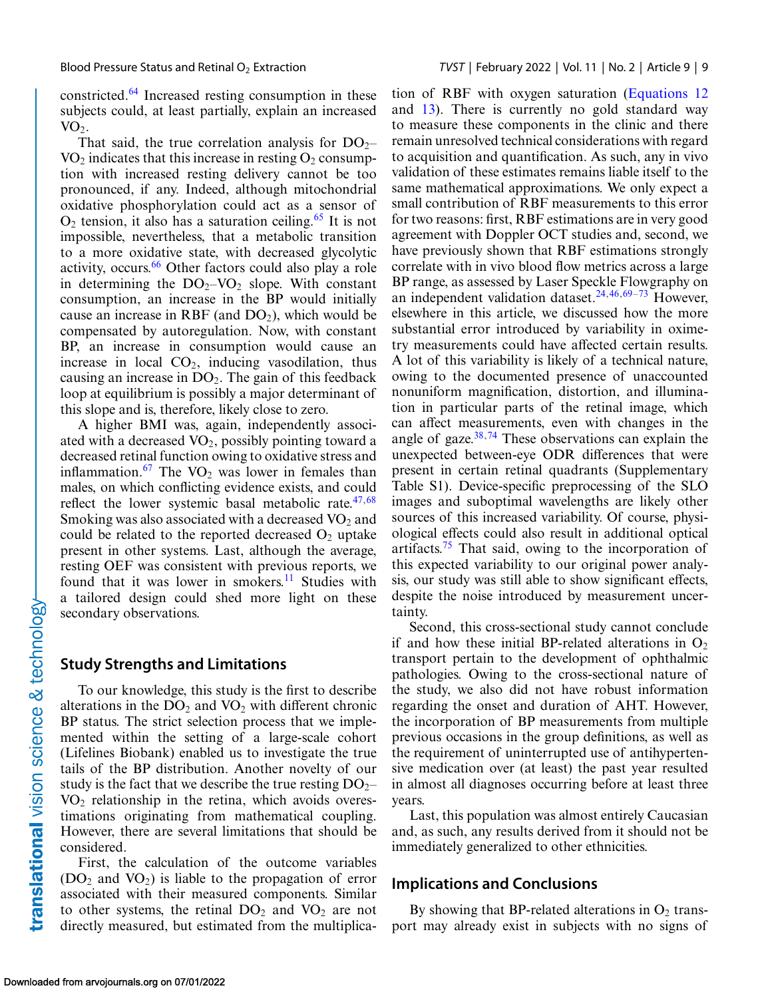constricted[.64](#page-11-0) Increased resting consumption in these subjects could, at least partially, explain an increased  $VO<sub>2</sub>$ .

That said, the true correlation analysis for  $DO_{2}$ –  $VO<sub>2</sub>$  indicates that this increase in resting  $O<sub>2</sub>$  consumption with increased resting delivery cannot be too pronounced, if any. Indeed, although mitochondrial oxidative phosphorylation could act as a sensor of  $O_2$  tension, it also has a saturation ceiling.<sup>[65](#page-11-0)</sup> It is not impossible, nevertheless, that a metabolic transition to a more oxidative state, with decreased glycolytic activity, occurs.<sup>[66](#page-11-0)</sup> Other factors could also play a role in determining the  $DO<sub>2</sub>-VO<sub>2</sub>$  slope. With constant consumption, an increase in the BP would initially cause an increase in RBF (and  $DO<sub>2</sub>$ ), which would be compensated by autoregulation. Now, with constant BP, an increase in consumption would cause an increase in local  $CO<sub>2</sub>$ , inducing vasodilation, thus causing an increase in  $DO<sub>2</sub>$ . The gain of this feedback loop at equilibrium is possibly a major determinant of this slope and is, therefore, likely close to zero.

A higher BMI was, again, independently associated with a decreased  $VO<sub>2</sub>$ , possibly pointing toward a decreased retinal function owing to oxidative stress and inflammation.<sup>[67](#page-12-0)</sup> The  $VO<sub>2</sub>$  was lower in females than males, on which conflicting evidence exists, and could reflect the lower systemic basal metabolic rate. $47,68$  $47,68$ Smoking was also associated with a decreased  $VO<sub>2</sub>$  and could be related to the reported decreased  $O<sub>2</sub>$  uptake present in other systems. Last, although the average, resting OEF was consistent with previous reports, we found that it was lower in smokers.<sup>11</sup> Studies with a tailored design could shed more light on these secondary observations.

#### **Study Strengths and Limitations**

To our knowledge, this study is the first to describe alterations in the  $DO<sub>2</sub>$  and  $VO<sub>2</sub>$  with different chronic BP status. The strict selection process that we implemented within the setting of a large-scale cohort (Lifelines Biobank) enabled us to investigate the true tails of the BP distribution. Another novelty of our study is the fact that we describe the true resting  $DO_{2}$ –  $VO<sub>2</sub>$  relationship in the retina, which avoids overestimations originating from mathematical coupling. However, there are several limitations that should be considered.

First, the calculation of the outcome variables  $(DO<sub>2</sub>$  and  $VO<sub>2</sub>)$  is liable to the propagation of error associated with their measured components. Similar to other systems, the retinal  $DO<sub>2</sub>$  and  $VO<sub>2</sub>$  are not directly measured, but estimated from the multiplica-

tion of RBF with oxygen saturation [\(Equations 12](#page-4-0) and [13\)](#page-4-0). There is currently no gold standard way to measure these components in the clinic and there remain unresolved technical considerations with regard to acquisition and quantification. As such, any in vivo validation of these estimates remains liable itself to the same mathematical approximations. We only expect a small contribution of RBF measurements to this error for two reasons: first, RBF estimations are in very good agreement with Doppler OCT studies and, second, we have previously shown that RBF estimations strongly correlate with in vivo blood flow metrics across a large BP range, as assessed by Laser Speckle Flowgraphy on an independent validation dataset.<sup>[24,](#page-10-0)[46,](#page-11-0)[69–73](#page-12-0)</sup> However, elsewhere in this article, we discussed how the more substantial error introduced by variability in oximetry measurements could have affected certain results. A lot of this variability is likely of a technical nature, owing to the documented presence of unaccounted nonuniform magnification, distortion, and illumination in particular parts of the retinal image, which can affect measurements, even with changes in the angle of gaze. $38,74$  $38,74$  These observations can explain the unexpected between-eye ODR differences that were present in certain retinal quadrants (Supplementary Table S1). Device-specific preprocessing of the SLO images and suboptimal wavelengths are likely other sources of this increased variability. Of course, physiological effects could also result in additional optical artifacts.<sup>75</sup> That said, owing to the incorporation of this expected variability to our original power analysis, our study was still able to show significant effects, despite the noise introduced by measurement uncertainty.

Second, this cross-sectional study cannot conclude if and how these initial BP-related alterations in  $O_2$ transport pertain to the development of ophthalmic pathologies. Owing to the cross-sectional nature of the study, we also did not have robust information regarding the onset and duration of AHT. However, the incorporation of BP measurements from multiple previous occasions in the group definitions, as well as the requirement of uninterrupted use of antihypertensive medication over (at least) the past year resulted in almost all diagnoses occurring before at least three years.

Last, this population was almost entirely Caucasian and, as such, any results derived from it should not be immediately generalized to other ethnicities.

#### **Implications and Conclusions**

By showing that BP-related alterations in  $O_2$  transport may already exist in subjects with no signs of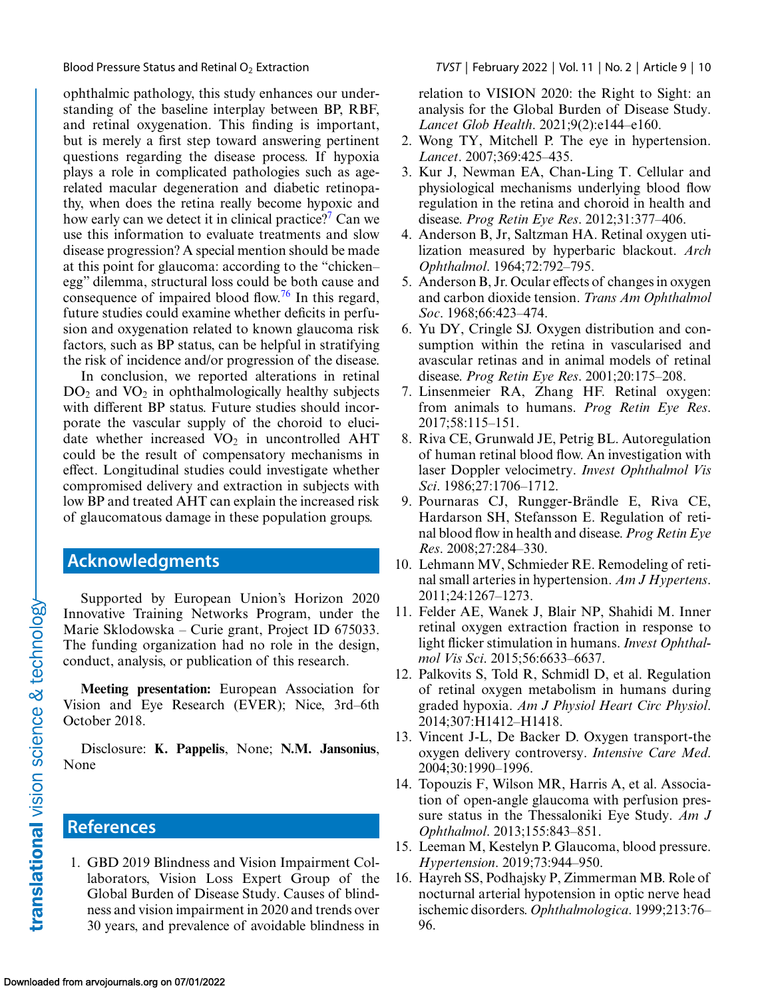<span id="page-9-0"></span>

ophthalmic pathology, this study enhances our understanding of the baseline interplay between BP, RBF, and retinal oxygenation. This finding is important, but is merely a first step toward answering pertinent questions regarding the disease process. If hypoxia plays a role in complicated pathologies such as agerelated macular degeneration and diabetic retinopathy, when does the retina really become hypoxic and how early can we detect it in clinical practice?<sup>7</sup> Can we use this information to evaluate treatments and slow disease progression? A special mention should be made at this point for glaucoma: according to the "chicken– egg" dilemma, structural loss could be both cause and consequence of impaired blood flow.<sup>76</sup> In this regard, future studies could examine whether deficits in perfusion and oxygenation related to known glaucoma risk factors, such as BP status, can be helpful in stratifying the risk of incidence and/or progression of the disease.

In conclusion, we reported alterations in retinal  $DO<sub>2</sub>$  and  $VO<sub>2</sub>$  in ophthalmologically healthy subjects with different BP status. Future studies should incorporate the vascular supply of the choroid to elucidate whether increased  $VO<sub>2</sub>$  in uncontrolled AHT could be the result of compensatory mechanisms in effect. Longitudinal studies could investigate whether compromised delivery and extraction in subjects with low BP and treated AHT can explain the increased risk of glaucomatous damage in these population groups.

# **Acknowledgments**

Supported by European Union's Horizon 2020 Innovative Training Networks Program, under the Marie Sklodowska – Curie grant, Project ID 675033. The funding organization had no role in the design, conduct, analysis, or publication of this research.

**Meeting presentation:** European Association for Vision and Eye Research (EVER); Nice, 3rd–6th October 2018.

Disclosure: **K. Pappelis**, None; **N.M. Jansonius**, None

# **References**

1. GBD 2019 Blindness and Vision Impairment Collaborators, Vision Loss Expert Group of the Global Burden of Disease Study. Causes of blindness and vision impairment in 2020 and trends over 30 years, and prevalence of avoidable blindness in relation to VISION 2020: the Right to Sight: an analysis for the Global Burden of Disease Study. *Lancet Glob Health*. 2021;9(2):e144–e160.

- 2. Wong TY, Mitchell P. The eye in hypertension. *Lancet*. 2007;369:425–435.
- 3. Kur J, Newman EA, Chan-Ling T. Cellular and physiological mechanisms underlying blood flow regulation in the retina and choroid in health and disease. *Prog Retin Eye Res*. 2012;31:377–406.
- 4. Anderson B, Jr, Saltzman HA. Retinal oxygen utilization measured by hyperbaric blackout. *Arch Ophthalmol*. 1964;72:792–795.
- 5. Anderson B, Jr. Ocular effects of changes in oxygen and carbon dioxide tension. *Trans Am Ophthalmol Soc*. 1968;66:423–474.
- 6. Yu DY, Cringle SJ. Oxygen distribution and consumption within the retina in vascularised and avascular retinas and in animal models of retinal disease. *Prog Retin Eye Res*. 2001;20:175–208.
- 7. Linsenmeier RA, Zhang HF. Retinal oxygen: from animals to humans. *Prog Retin Eye Res*. 2017;58:115–151.
- 8. Riva CE, Grunwald JE, Petrig BL. Autoregulation of human retinal blood flow. An investigation with laser Doppler velocimetry. *Invest Ophthalmol Vis Sci*. 1986;27:1706–1712.
- 9. Pournaras CJ, Rungger-Brändle E, Riva CE, Hardarson SH, Stefansson E. Regulation of retinal blood flow in health and disease. *Prog Retin Eye Res*. 2008;27:284–330.
- 10. Lehmann MV, Schmieder RE. Remodeling of retinal small arteries in hypertension. *Am J Hypertens*. 2011;24:1267–1273.
- 11. Felder AE, Wanek J, Blair NP, Shahidi M. Inner retinal oxygen extraction fraction in response to light flicker stimulation in humans. *Invest Ophthalmol Vis Sci*. 2015;56:6633–6637.
- 12. Palkovits S, Told R, Schmidl D, et al. Regulation of retinal oxygen metabolism in humans during graded hypoxia. *Am J Physiol Heart Circ Physiol*. 2014;307:H1412–H1418.
- 13. Vincent J-L, De Backer D. Oxygen transport-the oxygen delivery controversy. *Intensive Care Med*. 2004;30:1990–1996.
- 14. Topouzis F, Wilson MR, Harris A, et al. Association of open-angle glaucoma with perfusion pressure status in the Thessaloniki Eye Study. *Am J Ophthalmol*. 2013;155:843–851.
- 15. Leeman M, Kestelyn P. Glaucoma, blood pressure. *Hypertension*. 2019;73:944–950.
- 16. Hayreh SS, Podhajsky P, Zimmerman MB. Role of nocturnal arterial hypotension in optic nerve head ischemic disorders. *Ophthalmologica*. 1999;213:76– 96.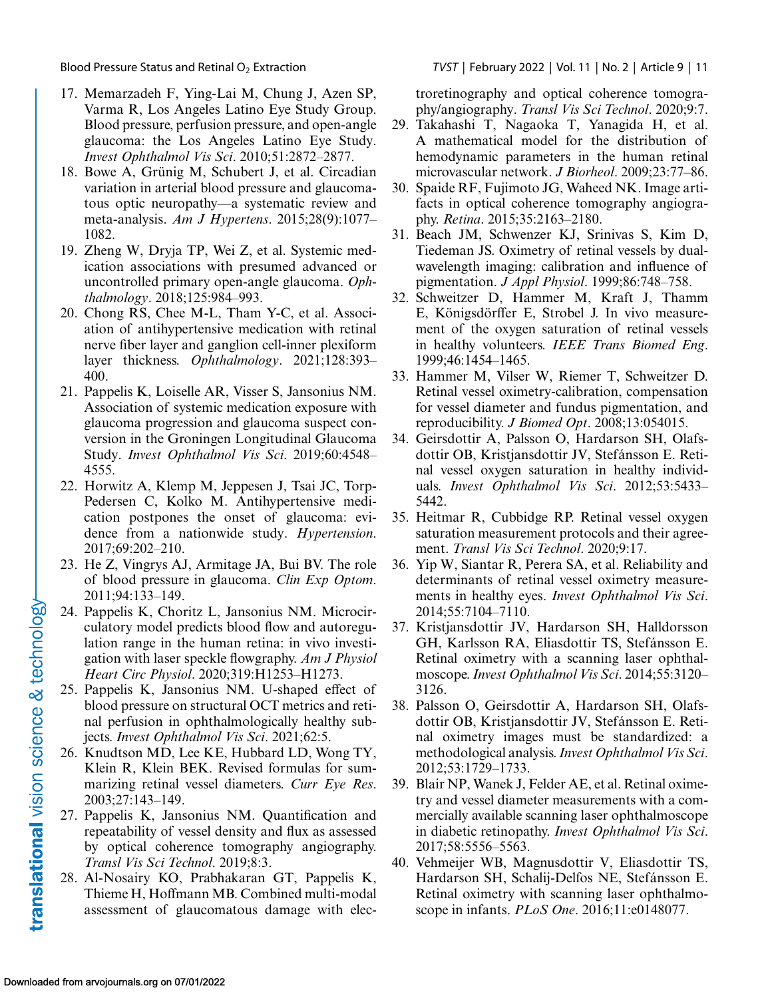- 17. Memarzadeh F, Ying-Lai M, Chung J, Azen SP, Varma R, Los Angeles Latino Eye Study Group. Blood pressure, perfusion pressure, and open-angle glaucoma: the Los Angeles Latino Eye Study. *Invest Ophthalmol Vis Sci*. 2010;51:2872–2877.
- 18. Bowe A, Grünig M, Schubert J, et al. Circadian variation in arterial blood pressure and glaucomatous optic neuropathy—a systematic review and meta-analysis. *Am J Hypertens*. 2015;28(9):1077– 1082.
- 19. Zheng W, Dryja TP, Wei Z, et al. Systemic medication associations with presumed advanced or uncontrolled primary open-angle glaucoma. *Ophthalmology*. 2018;125:984–993.
- 20. Chong RS, Chee M-L, Tham Y-C, et al. Association of antihypertensive medication with retinal nerve fiber layer and ganglion cell-inner plexiform layer thickness. *Ophthalmology*. 2021;128:393– 400.
- 21. Pappelis K, Loiselle AR, Visser S, Jansonius NM. Association of systemic medication exposure with glaucoma progression and glaucoma suspect conversion in the Groningen Longitudinal Glaucoma Study. *Invest Ophthalmol Vis Sci*. 2019;60:4548– 4555.
- 22. Horwitz A, Klemp M, Jeppesen J, Tsai JC, Torp-Pedersen C, Kolko M. Antihypertensive medication postpones the onset of glaucoma: evidence from a nationwide study. *Hypertension*. 2017;69:202–210.
- 23. He Z, Vingrys AJ, Armitage JA, Bui BV. The role of blood pressure in glaucoma. *Clin Exp Optom*. 2011;94:133–149.
- 24. Pappelis K, Choritz L, Jansonius NM. Microcirculatory model predicts blood flow and autoregulation range in the human retina: in vivo investigation with laser speckle flowgraphy. *Am J Physiol Heart Circ Physiol*. 2020;319:H1253–H1273.
- 25. Pappelis K, Jansonius NM. U-shaped effect of blood pressure on structural OCT metrics and retinal perfusion in ophthalmologically healthy subjects. *Invest Ophthalmol Vis Sci*. 2021;62:5.
- 26. Knudtson MD, Lee KE, Hubbard LD, Wong TY, Klein R, Klein BEK. Revised formulas for summarizing retinal vessel diameters. *Curr Eye Res*. 2003;27:143–149.
- 27. Pappelis K, Jansonius NM. Quantification and repeatability of vessel density and flux as assessed by optical coherence tomography angiography. *Transl Vis Sci Technol*. 2019;8:3.
- 28. Al-Nosairy KO, Prabhakaran GT, Pappelis K, Thieme H, Hoffmann MB. Combined multi-modal assessment of glaucomatous damage with elec-

<span id="page-10-0"></span>Blood Pressure Status and Retinal O2 Extraction *TVST* | February 2022 | Vol. 11 | No. 2 | Article 9 | 11

troretinography and optical coherence tomography/angiography. *Transl Vis Sci Technol*. 2020;9:7.

- 29. Takahashi T, Nagaoka T, Yanagida H, et al. A mathematical model for the distribution of hemodynamic parameters in the human retinal microvascular network. *J Biorheol*. 2009;23:77–86.
- 30. Spaide RF, Fujimoto JG, Waheed NK. Image artifacts in optical coherence tomography angiography. *Retina*. 2015;35:2163–2180.
- 31. Beach JM, Schwenzer KJ, Srinivas S, Kim D, Tiedeman JS. Oximetry of retinal vessels by dualwavelength imaging: calibration and influence of pigmentation. *J Appl Physiol*. 1999;86:748–758.
- 32. Schweitzer D, Hammer M, Kraft J, Thamm E, Königsdörffer E, Strobel J. In vivo measurement of the oxygen saturation of retinal vessels in healthy volunteers. *IEEE Trans Biomed Eng*. 1999;46:1454–1465.
- 33. Hammer M, Vilser W, Riemer T, Schweitzer D. Retinal vessel oximetry-calibration, compensation for vessel diameter and fundus pigmentation, and reproducibility. *J Biomed Opt*. 2008;13:054015.
- 34. Geirsdottir A, Palsson O, Hardarson SH, Olafsdottir OB, Kristjansdottir JV, Stefánsson E. Retinal vessel oxygen saturation in healthy individuals. *Invest Ophthalmol Vis Sci*. 2012;53:5433– 5442.
- 35. Heitmar R, Cubbidge RP. Retinal vessel oxygen saturation measurement protocols and their agreement. *Transl Vis Sci Technol*. 2020;9:17.
- 36. Yip W, Siantar R, Perera SA, et al. Reliability and determinants of retinal vessel oximetry measurements in healthy eyes. *Invest Ophthalmol Vis Sci*. 2014;55:7104–7110.
- 37. Kristjansdottir JV, Hardarson SH, Halldorsson GH, Karlsson RA, Eliasdottir TS, Stefánsson E. Retinal oximetry with a scanning laser ophthalmoscope.*Invest Ophthalmol Vis Sci*. 2014;55:3120– 3126.
- 38. Palsson O, Geirsdottir A, Hardarson SH, Olafsdottir OB, Kristjansdottir JV, Stefánsson E. Retinal oximetry images must be standardized: a methodological analysis.*Invest Ophthalmol Vis Sci*. 2012;53:1729–1733.
- 39. Blair NP, Wanek J, Felder AE, et al. Retinal oximetry and vessel diameter measurements with a commercially available scanning laser ophthalmoscope in diabetic retinopathy. *Invest Ophthalmol Vis Sci*. 2017;58:5556–5563.
- 40. Vehmeijer WB, Magnusdottir V, Eliasdottir TS, Hardarson SH, Schalij-Delfos NE, Stefánsson E. Retinal oximetry with scanning laser ophthalmoscope in infants. *PLoS One*. 2016;11:e0148077.

translational vision science & technology-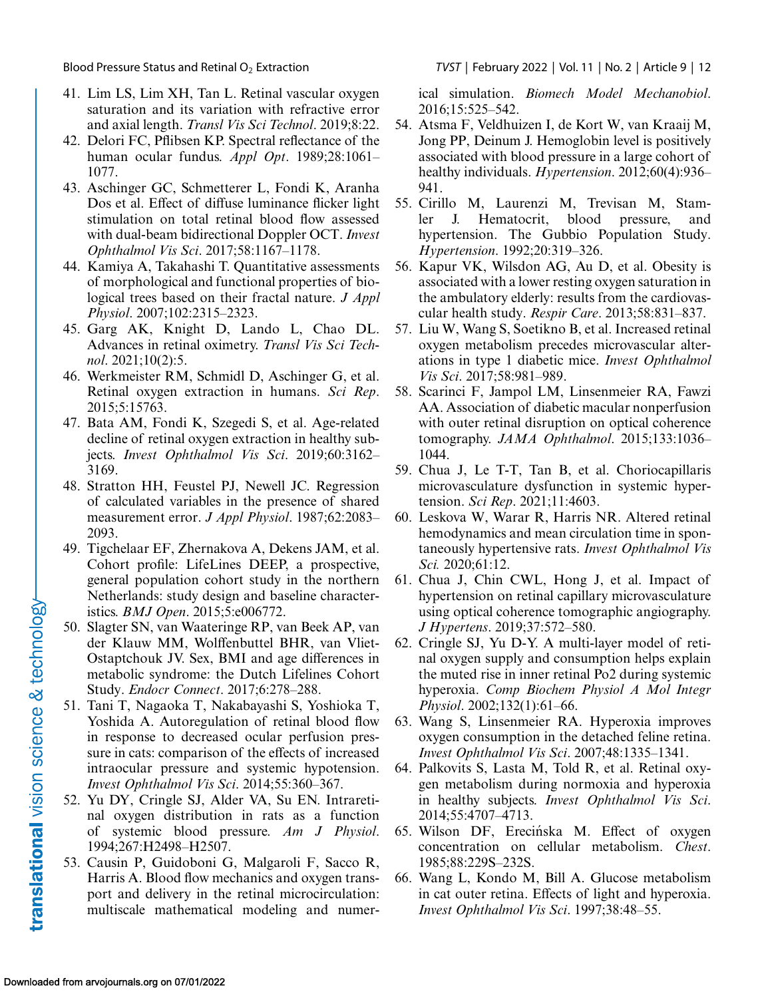- 41. Lim LS, Lim XH, Tan L. Retinal vascular oxygen saturation and its variation with refractive error and axial length. *Transl Vis Sci Technol*. 2019;8:22.
- 42. Delori FC, Pflibsen KP. Spectral reflectance of the human ocular fundus. *Appl Opt*. 1989;28:1061– 1077.
- 43. Aschinger GC, Schmetterer L, Fondi K, Aranha Dos et al. Effect of diffuse luminance flicker light stimulation on total retinal blood flow assessed with dual-beam bidirectional Doppler OCT. *Invest Ophthalmol Vis Sci*. 2017;58:1167–1178.
- 44. Kamiya A, Takahashi T. Quantitative assessments of morphological and functional properties of biological trees based on their fractal nature. *J Appl Physiol*. 2007;102:2315–2323.
- 45. Garg AK, Knight D, Lando L, Chao DL. Advances in retinal oximetry. *Transl Vis Sci Technol*. 2021;10(2):5.
- 46. Werkmeister RM, Schmidl D, Aschinger G, et al. Retinal oxygen extraction in humans. *Sci Rep*. 2015;5:15763.
- 47. Bata AM, Fondi K, Szegedi S, et al. Age-related decline of retinal oxygen extraction in healthy subjects. *Invest Ophthalmol Vis Sci*. 2019;60:3162– 3169.
- 48. Stratton HH, Feustel PJ, Newell JC. Regression of calculated variables in the presence of shared measurement error. *J Appl Physiol*. 1987;62:2083– 2093.
- 49. Tigchelaar EF, Zhernakova A, Dekens JAM, et al. Cohort profile: LifeLines DEEP, a prospective, general population cohort study in the northern Netherlands: study design and baseline characteristics. *BMJ Open*. 2015;5:e006772.
- 50. Slagter SN, van Waateringe RP, van Beek AP, van der Klauw MM, Wolffenbuttel BHR, van Vliet-Ostaptchouk JV. Sex, BMI and age differences in metabolic syndrome: the Dutch Lifelines Cohort Study. *Endocr Connect*. 2017;6:278–288.
- 51. Tani T, Nagaoka T, Nakabayashi S, Yoshioka T, Yoshida A. Autoregulation of retinal blood flow in response to decreased ocular perfusion pressure in cats: comparison of the effects of increased intraocular pressure and systemic hypotension. *Invest Ophthalmol Vis Sci*. 2014;55:360–367.
- 52. Yu DY, Cringle SJ, Alder VA, Su EN. Intraretinal oxygen distribution in rats as a function of systemic blood pressure. *Am J Physiol*. 1994;267:H2498–H2507.
- 53. Causin P, Guidoboni G, Malgaroli F, Sacco R, Harris A. Blood flow mechanics and oxygen transport and delivery in the retinal microcirculation: multiscale mathematical modeling and numer-

<span id="page-11-0"></span>Blood Pressure Status and Retinal O2 Extraction *TVST* | February 2022 | Vol. 11 | No. 2 | Article 9 | 12

ical simulation. *Biomech Model Mechanobiol*. 2016;15:525–542.

- 54. Atsma F, Veldhuizen I, de Kort W, van Kraaij M, Jong PP, Deinum J. Hemoglobin level is positively associated with blood pressure in a large cohort of healthy individuals. *Hypertension*. 2012;60(4):936– 941.
- 55. Cirillo M, Laurenzi M, Trevisan M, Stamler J. Hematocrit, blood pressure, and hypertension. The Gubbio Population Study. *Hypertension*. 1992;20:319–326.
- 56. Kapur VK, Wilsdon AG, Au D, et al. Obesity is associated with a lower resting oxygen saturation in the ambulatory elderly: results from the cardiovascular health study. *Respir Care*. 2013;58:831–837.
- 57. Liu W, Wang S, Soetikno B, et al. Increased retinal oxygen metabolism precedes microvascular alterations in type 1 diabetic mice. *Invest Ophthalmol Vis Sci*. 2017;58:981–989.
- 58. Scarinci F, Jampol LM, Linsenmeier RA, Fawzi AA. Association of diabetic macular nonperfusion with outer retinal disruption on optical coherence tomography. *JAMA Ophthalmol*. 2015;133:1036– 1044.
- 59. Chua J, Le T-T, Tan B, et al. Choriocapillaris microvasculature dysfunction in systemic hypertension. *Sci Rep*. 2021;11:4603.
- 60. Leskova W, Warar R, Harris NR. Altered retinal hemodynamics and mean circulation time in spontaneously hypertensive rats. *Invest Ophthalmol Vis Sci.* 2020;61:12.
- 61. Chua J, Chin CWL, Hong J, et al. Impact of hypertension on retinal capillary microvasculature using optical coherence tomographic angiography. *J Hypertens*. 2019;37:572–580.
- 62. Cringle SJ, Yu D-Y. A multi-layer model of retinal oxygen supply and consumption helps explain the muted rise in inner retinal Po2 during systemic hyperoxia. *Comp Biochem Physiol A Mol Integr Physiol*. 2002;132(1):61–66.
- 63. Wang S, Linsenmeier RA. Hyperoxia improves oxygen consumption in the detached feline retina. *Invest Ophthalmol Vis Sci*. 2007;48:1335–1341.
- 64. Palkovits S, Lasta M, Told R, et al. Retinal oxygen metabolism during normoxia and hyperoxia in healthy subjects. *Invest Ophthalmol Vis Sci*. 2014;55:4707–4713.
- 65. Wilson DF, Erecińska M. Effect of oxygen concentration on cellular metabolism. *Chest*. 1985;88:229S–232S.
- 66. Wang L, Kondo M, Bill A. Glucose metabolism in cat outer retina. Effects of light and hyperoxia. *Invest Ophthalmol Vis Sci*. 1997;38:48–55.